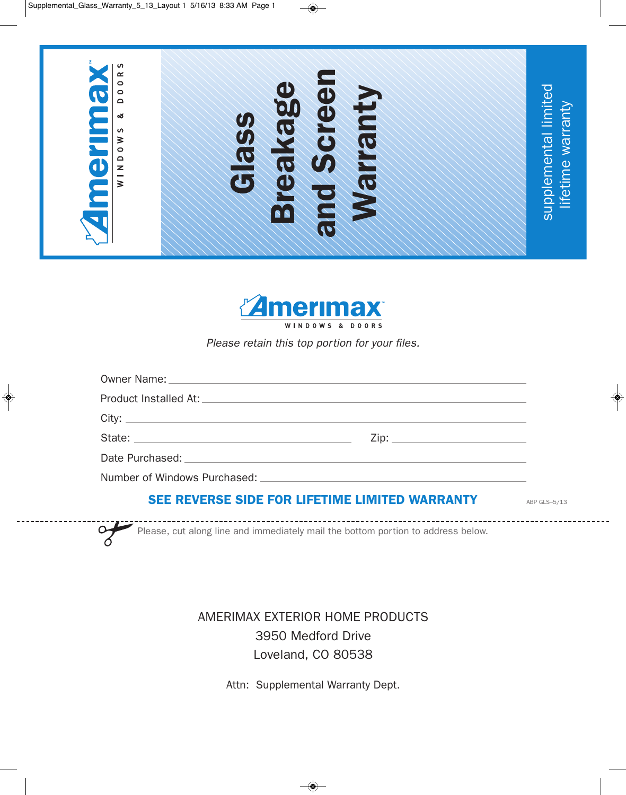$\Rightarrow$ 



**Amerimax** WINDOWS & DOORS

*Please retain this top portion for your files.*

# **SEE REVERSE SIDE FOR LIFETIME LIMITED WARRANTY**

ABP GLS–5/13

Please, cut along line and immediately mail the bottom portion to address below.

> AMERIMAX EXTERIOR HOME PRODUCTS 3950 Medford Drive Loveland, CO 80538

> > Attn: Supplemental Warranty Dept.